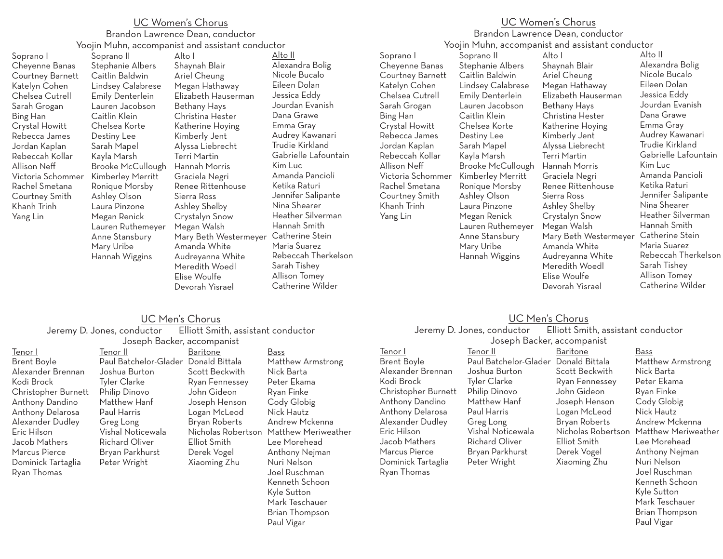## UC Women's Chorus Brandon Lawrence Dean, conductor Yoojin Muhn, accompanist and assistant conductor

Soprano I Cheyenne Banas Courtney Barnett Katelyn Cohen Chelsea Cutrell Sarah Grogan Bing Han Crystal Howitt Rebecca James Jordan Kaplan Rebeccah Kollar Allison Neff Victoria Schommer Rachel Smetana Courtney Smith Khanh Trinh Yang Lin

Soprano II Stephanie Albers Caitlin Baldwin Lindsey Calabrese Emily Denterlein Lauren Jacobson Caitlin Klein Chelsea Korte Destiny Lee Sarah Mapel Kayla Marsh Brooke McCullough Kimberley Merritt Ronique Morsby Ashley Olson Laura Pinzone Megan Renick Lauren Ruthemeyer Anne Stansbury Mary Uribe Hannah Wiggins Alto I

Shaynah Blair Ariel Cheung Megan Hathaway Elizabeth Hauserman Bethany Hays Christina Hester Katherine Hoying Kimberly Jent Alyssa Liebrecht Terri Martin Hannah Morris Graciela Negri Renee Rittenhouse Sierra Ross Ashley Shelby Crystalyn Snow Megan Walsh Mary Beth Westermeyer Catherine Stein Amanda White Audreyanna White Meredith Woedl Elise Woulfe Devorah Yisrael

Alto II Alexandra Bolig Nicole Bucalo Eileen Dolan Jessica Eddy Jourdan Evanish Dana Grawe Emma Gray Audrey Kawanari Trudie Kirkland Gabrielle Lafountain Kim Luc Amanda Pancioli Ketika Raturi Jennifer Salipante Nina Shearer Heather Silverman Hannah Smith Maria Suarez Rebeccah Therkelson Sarah Tishey Allison Tomey Catherine Wilder

#### UC Women's Chorus Brandon Lawrence Dean, conductor

Yoojin Muhn, accompanist and assistant conductor

Soprano I Cheyenne Banas Courtney Barnett Katelyn Cohen Chelsea Cutrell Sarah Grogan Bing Han Crystal Howitt Rebecca James Jordan Kaplan Rebeccah Kollar Allison Neff Victoria Schommer Rachel Smetana Courtney Smith Khanh Trinh Yang Lin

Soprano II Stephanie Albers Caitlin Baldwin Lindsey Calabrese Emily Denterlein Lauren Jacobson Caitlin Klein Chelsea Korte Destiny Lee Sarah Mapel Kayla Marsh Brooke McCullough Kimberley Merritt Ronique Morsby Ashley Olson Laura Pinzone Megan Renick Lauren Ruthemeyer Anne Stansbury Mary Uribe Hannah Wiggins

Alto I Shaynah Blair Ariel Cheung Megan Hathaway Elizabeth Hauserman Bethany Hays Christina Hester Katherine Hoying Kimberly Jent Alyssa Liebrecht Terri Martin Hannah Morris Graciela Negri Renee Rittenhouse Sierra Ross Ashley Shelby Crystalyn Snow Megan Walsh Mary Beth Westermeyer Catherine Stein Amanda White Audreyanna White Meredith Woedl Elise Woulfe Devorah Yisrael

Alto II Alexandra Bolig Nicole Bucalo Eileen Dolan Jessica Eddy Jourdan Evanish Dana Grawe Emma Gray Audrey Kawanari Trudie Kirkland Gabrielle Lafountain Kim Luc Amanda Pancioli Ketika Raturi Jennifer Salipante Nina Shearer Heather Silverman Hannah Smith Maria Suarez Rebeccah Therkelson Sarah Tishey Allison Tomey Catherine Wilder

Brian Thompson Paul Vigar

#### UC Men's Chorus Jeremy D. Jones, conductor Elliott Smith, assistant conductor Joseph Backer, accompanist

| Tenor I             | Tenor II              | Baritone             |
|---------------------|-----------------------|----------------------|
| <b>Brent Boyle</b>  | Paul Batchelor-Glader | Donald Bittala       |
| Alexander Brennan   | Joshua Burton         | Scott Beckwith       |
| Kodi Brock          | Tyler Clarke          | Ryan Fennessey       |
| Christopher Burnett | Philip Dinovo         | John Gideon          |
| Anthony Dandino     | Matthew Hanf          | Joseph Henson        |
| Anthony Delarosa    | Paul Harris           | Logan McLeod         |
| Alexander Dudley    | Greg Long             | <b>Bryan Roberts</b> |
| Eric Hilson         | Vishal Noticewala     | Nicholas Roberts     |
| Jacob Mathers       | <b>Richard Oliver</b> | Elliot Smith         |
| Marcus Pierce       | Bryan Parkhurst       | Derek Vogel          |
| Dominick Tartaglia  | Peter Wright          | Xiaoming Zhu         |
| Ryan Thomas         |                       |                      |
|                     |                       |                      |

#### Nicholas Robertson Matthew Meriweather Bass Matthew Armstrong Nick Barta Peter Ekama Ryan Finke Cody Globig Nick Hautz Andrew Mckenna Lee Morehead Anthony Nejman Nuri Nelson Joel Ruschman Kenneth Schoon Kyle Sutton Mark Teschauer Brian Thompson Paul Vigar

## UC Men's Chorus

Jeremy D. Jones, conductor Elliott Smith, assistant conductor Joseph Backer, accompanist

| Tenor I             | Tenor II                             | Baritone       | Bass                                   |
|---------------------|--------------------------------------|----------------|----------------------------------------|
| Brent Boyle         | Paul Batchelor-Glader Donald Bittala |                | Matthew Armstrong                      |
| Alexander Brennan   | Joshua Burton                        | Scott Beckwith | Nick Barta                             |
| Kodi Brock          | Tyler Clarke                         | Ryan Fennessey | Peter Ekama                            |
| Christopher Burnett | Philip Dinovo                        | John Gideon    | Ryan Finke                             |
| Anthony Dandino     | Matthew Hanf                         | Joseph Henson  | Cody Globig                            |
| Anthony Delarosa    | Paul Harris                          | Logan McLeod   | Nick Hautz                             |
| Alexander Dudley    | Greg Long                            | Bryan Roberts  | Andrew Mckenna                         |
| Eric Hilson         | Vishal Noticewala                    |                | Nicholas Robertson Matthew Meriweather |
| Jacob Mathers       | Richard Oliver                       | Elliot Smith   | Lee Morehead                           |
| Marcus Pierce       | Bryan Parkhurst                      | Derek Vogel    | Anthony Nejman                         |
| Dominick Tartaglia  | Peter Wright                         | Xiaoming Zhu   | Nuri Nelson                            |
| Ryan Thomas         |                                      |                | Joel Ruschman                          |
|                     |                                      |                | Kenneth Schoon                         |
|                     |                                      |                | Kyle Sutton                            |
|                     |                                      |                | Mark Teschauer                         |